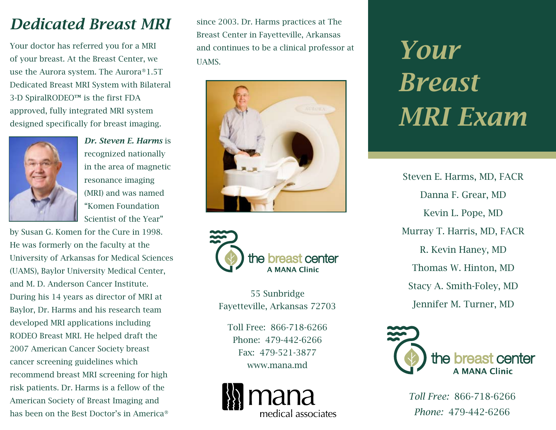# *Dedicated Breast MRI*

Your doctor has referred you for a MRI of your breast. At the Breast Center, we use the Aurora system. The Aurora®1.5T Dedicated Breast MRI System with Bilateral 3-D SpiralRODEO™ is the first FDA approved, fully integrated MRI system designed specifically for breast imaging.



*Dr. Steven E. Harms* is recognized nationally in the area of magnetic resonance imaging (MRI) and was named "Komen Foundation Scientist of the Year"

by Susan G. Komen for the Cure in 1998. He was formerly on the faculty at the University of Arkansas for Medical Sciences (UAMS), Baylor University Medical Center, and M. D. Anderson Cancer Institute. During his 14 years as director of MRI at Baylor, Dr. Harms and his research team developed MRI applications including RODEO Breast MRI. He helped draft the 2007 American Cancer Society breast cancer screening guidelines which recommend breast MRI screening for high risk patients. Dr. Harms is a fellow of the American Society of Breast Imaging and has been on the Best Doctor's in America®

since 2003. Dr. Harms practices at The Breast Center in Fayetteville, Arkansas and continues to be a clinical professor at UAMS.





55 Sunbridge Fayetteville, Arkansas 72703

Toll Free: 866-718-6266 Phone: 479-442-6266 Fax: 479-521-3877 www.mana.md



*Your Breast MRI Exam*

Steven E. Harms, MD, FACR Danna F. Grear, MD Kevin L. Pope, MD Murray T. Harris, MD, FACR R. Kevin Haney, MD Thomas W. Hinton, MD Stacy A. Smith-Foley, MD Jennifer M. Turner, MD



*Toll Free:* 866-718-6266 *Phone:* 479-442-6266